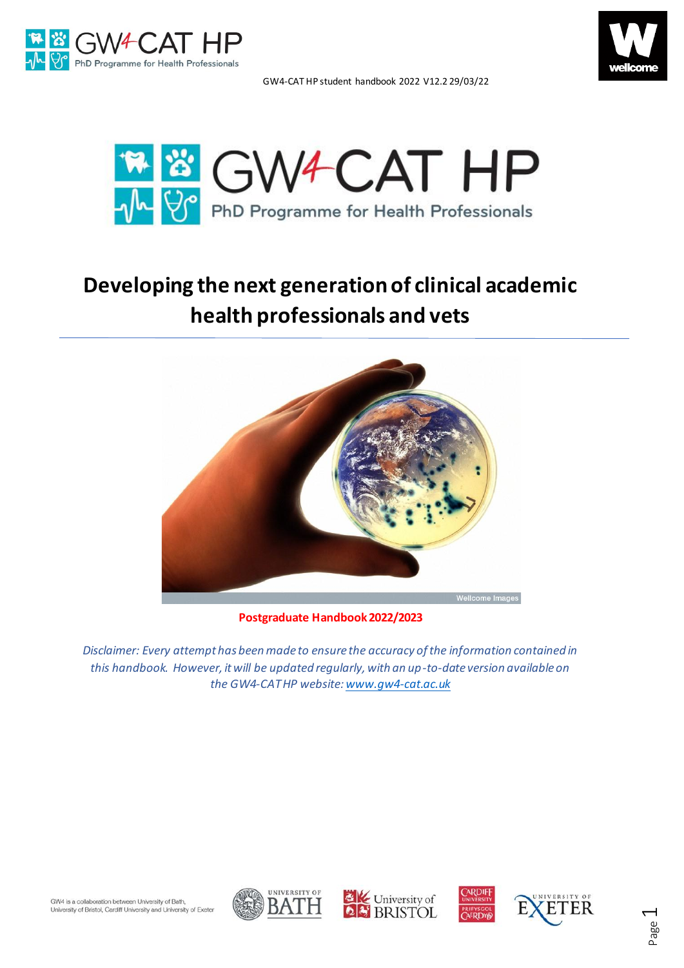







# **Developing the next generation of clinical academic health professionals and vets**



**Postgraduate Handbook 2022/2023**

*Disclaimer: Every attempt has been made to ensure the accuracy of the information contained in this handbook. However, it will be updated regularly, with an up-to-date version available on the GW4-CAT HP website:[www.gw4-cat.ac.uk](http://www.gw4-cat.ac.uk/)*







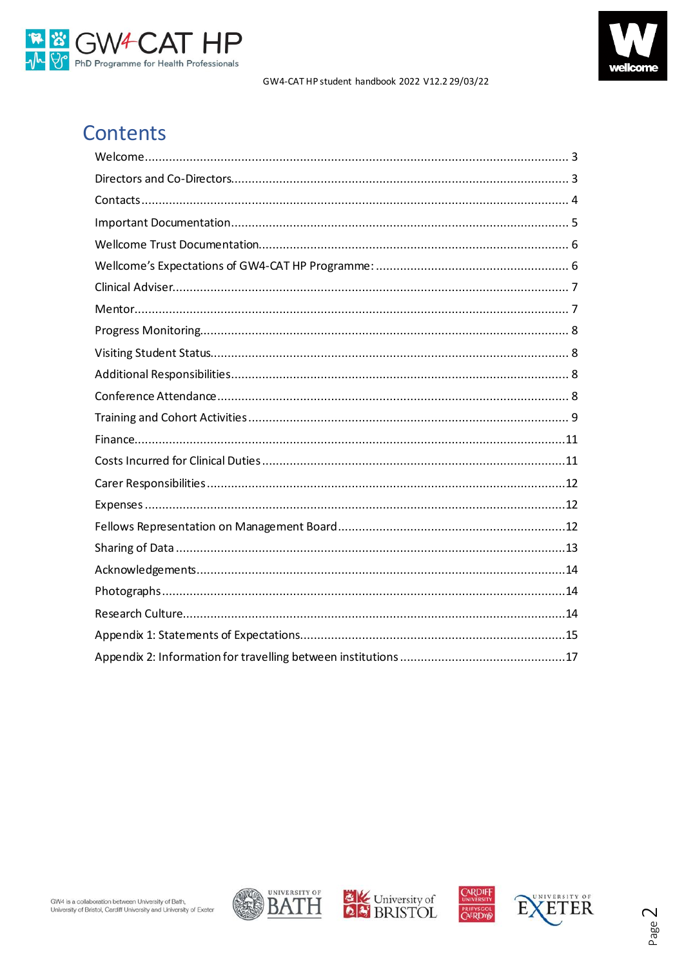



## Contents







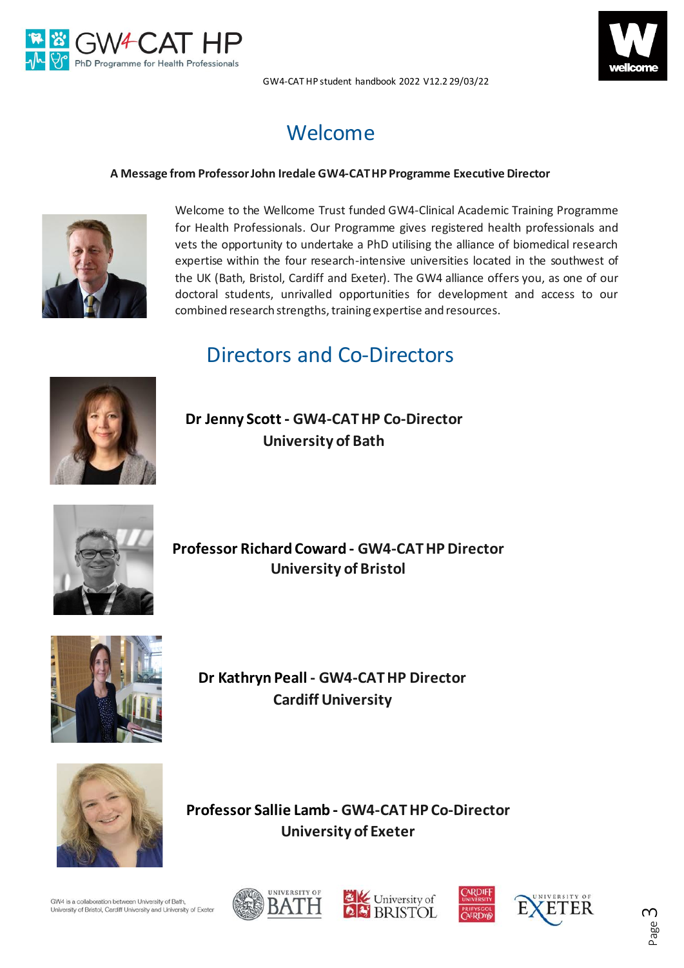



## Welcome

### <span id="page-2-0"></span>**A Message from Professor John Iredale GW4-CATHP Programme Executive Director**



Welcome to the Wellcome Trust funded GW4-Clinical Academic Training Programme for Health Professionals. Our Programme gives registered health professionals and vets the opportunity to undertake a PhD utilising the alliance of biomedical research expertise within the four research-intensive universities located in the southwest of the UK (Bath, Bristol, Cardiff and Exeter). The GW4 alliance offers you, as one of our doctoral students, unrivalled opportunities for development and access to our combined research strengths, training expertise and resources.

### Directors and Co-Directors

<span id="page-2-1"></span>

**Dr Jenny Scott - GW4-CAT HP Co-Director University of Bath**



**Professor Richard Coward - GW4-CATHPDirector University of Bristol**



**Dr Kathryn Peall - GW4-CATHP Director Cardiff University** 

**Professor Sallie Lamb - GW4-CAT HP Co-Director University of Exeter**



GW4 is a collaboration between University of Bath University of Bristol, Cardiff University and University of Exeter









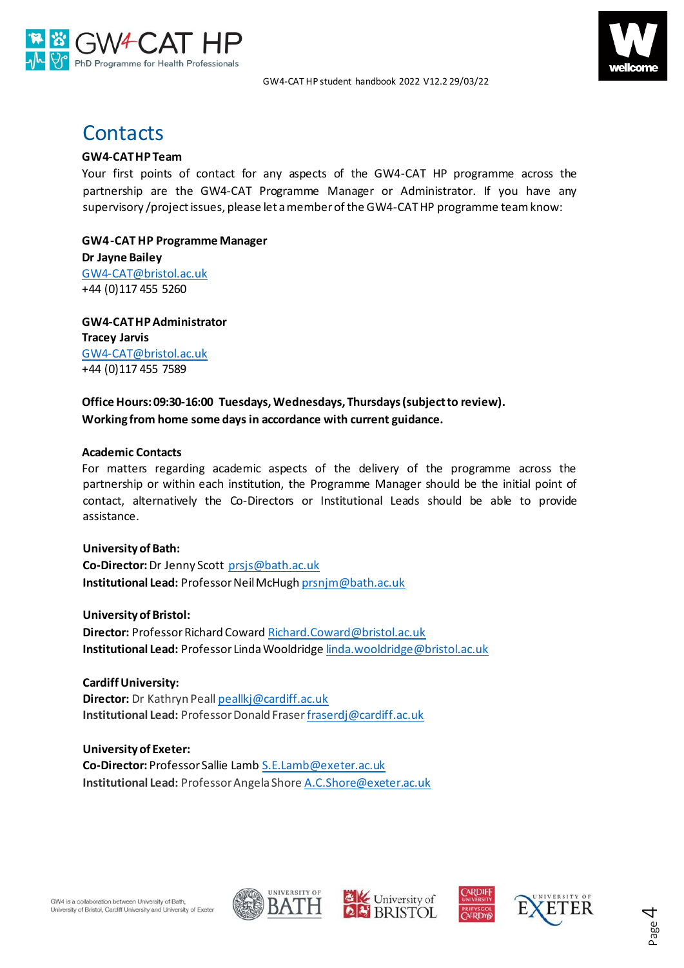



### <span id="page-3-0"></span>**Contacts**

### **GW4-CAT HP Team**

Your first points of contact for any aspects of the GW4-CAT HP programme across the partnership are the GW4-CAT Programme Manager or Administrator. If you have any supervisory /project issues, please let a member of the GW4-CATHP programme team know:

**GW4 -CAT HP Programme Manager Dr Jayne Bailey**  GW4-CAT@bristol.ac.uk +44 (0)117 455 5260

**GW4-CAT HP Administrator Tracey Jarvis** GW4-CAT@bristol.ac.uk +44 (0)117 455 7589

### **Office Hours: 09:30-16:00 Tuesdays, Wednesdays, Thursdays (subject to review). Working from home some days in accordance with current guidance.**

#### **Academic Contacts**

For matters regarding academic aspects of the delivery of the programme across the partnership or within each institution, the Programme Manager should be the initial point of contact, alternatively the Co-Directors or Institutional Leads should be able to provide assistance.

**University of Bath: Co-Director:** Dr Jenny Scott [prsjs@bath.ac.uk](mailto:prsjs@bath.ac.uk) **Institutional Lead:** Professor Neil McHugh [prsnjm@bath.ac.uk](mailto:prsnjm@bath.ac.uk)

**University of Bristol: Director:** Professor Richard Coward [Richard.Coward@bristol.ac.uk](mailto:Richard.Coward@bristol.ac.uk) **Institutional Lead:** Professor Linda Wooldridge [linda.wooldridge@bristol.ac.uk](mailto:linda.wooldridge@bristol.ac.uk)

**Cardiff University: Director:** Dr Kathryn Peall [peallkj@cardiff.ac.uk](mailto:peallkj@cardiff.ac.uk) **Institutional Lead:** Professor Donald Frase[rfraserdj@cardiff.ac.uk](mailto:fraserdj@cardiff.ac.uk)

**University of Exeter: Co-Director:** Professor Sallie Lamb [S.E.Lamb@exeter.ac.uk](mailto:S.E.Lamb@exeter.ac.uk) **Institutional Lead:** Professor Angela Shore [A.C.Shore@exeter.ac.uk](mailto:A.C.Shore@exeter.ac.uk)









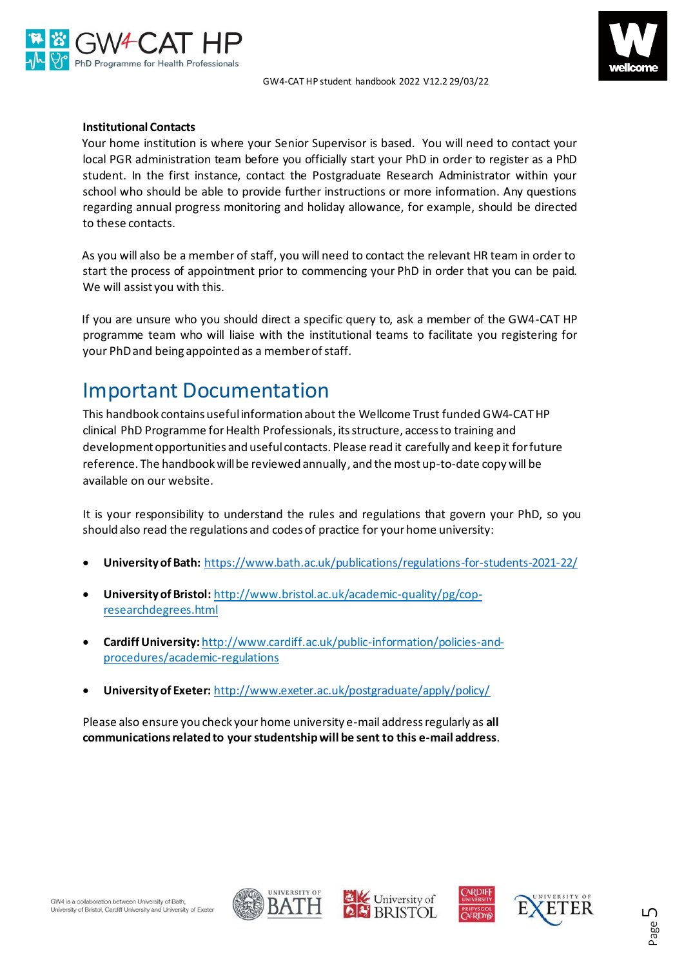



#### **Institutional Contacts**

Your home institution is where your Senior Supervisor is based. You will need to contact your local PGR administration team before you officially start your PhD in order to register as a PhD student. In the first instance, contact the Postgraduate Research Administrator within your school who should be able to provide further instructions or more information. Any questions regarding annual progress monitoring and holiday allowance, for example, should be directed to these contacts.

As you will also be a member of staff, you will need to contact the relevant HR team in order to start the process of appointment prior to commencing your PhD in order that you can be paid. We will assist you with this.

If you are unsure who you should direct a specific query to, ask a member of the GW4-CAT HP programme team who will liaise with the institutional teams to facilitate you registering for your PhD and being appointed as a member of staff.

### <span id="page-4-0"></span>Important Documentation

This handbook contains useful information about the Wellcome Trust funded GW4-CATHP clinical PhD Programme for Health Professionals, its structure, access to training and development opportunities and useful contacts. Please read it carefully and keep it for future reference. The handbook will be reviewed annually, and the most up-to-date copy will be available on our website.

It is your responsibility to understand the rules and regulations that govern your PhD, so you should also read the regulations and codes of practice for your home university:

- **University of Bath:** <https://www.bath.ac.uk/publications/regulations-for-students-2021-22/>
- **University of Bristol:** [http://www.bristol.ac.uk/academic-quality/pg/cop](http://www.bristol.ac.uk/academic-quality/pg/cop-research-degrees.html)[researchdegrees.html](http://www.bristol.ac.uk/academic-quality/pg/cop-research-degrees.html)
- **Cardiff University:** [http://www.cardiff.ac.uk/public-information/policies-and](http://www.cardiff.ac.uk/public-information/policies-and-procedures/academic-regulations)[procedures/academic-regulations](http://www.cardiff.ac.uk/public-information/policies-and-procedures/academic-regulations)
- **University of Exeter:** <http://www.exeter.ac.uk/postgraduate/apply/policy/>

Please also ensure you check your home university e-mail address regularly as **all communications related to your studentship will be sent to this e-mail address**.







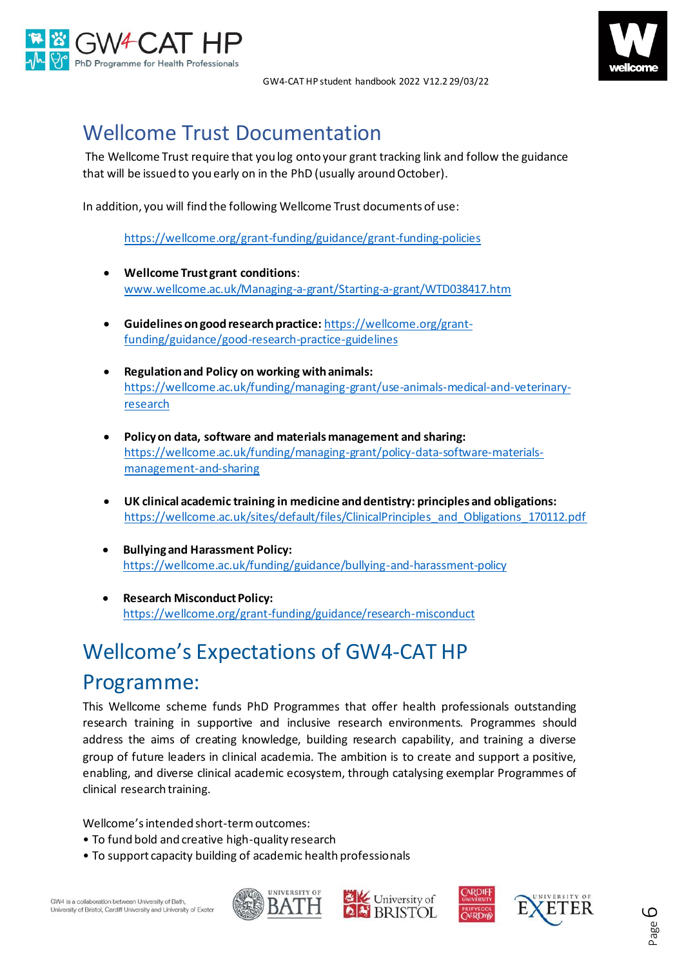



## <span id="page-5-0"></span>Wellcome Trust Documentation

The Wellcome Trust require that you log onto your grant tracking link and follow the guidance that will be issued to you early on in the PhD (usually around October).

In addition, you will find the following Wellcome Trust documents of use:

<https://wellcome.org/grant-funding/guidance/grant-funding-policies>

- **Wellcome Trust grant conditions**: [www.wellcome.ac.uk/Managing-a-grant/Starting-a-grant/WTD038417.htm](http://www.wellcome.ac.uk/Managing-a-grant/Starting-a-grant/WTD038417.htm)
- **Guidelines on good research practice:** [https://wellcome.org/grant](https://wellcome.org/grant-funding/guidance/good-research-practice-guidelines)[funding/guidance/good-research-practice-guidelines](https://wellcome.org/grant-funding/guidance/good-research-practice-guidelines)
- **Regulation and Policy on working with animals:**  [https://wellcome.ac.uk/funding/managing-grant/use-animals-medical-and-veterinary](https://wellcome.ac.uk/funding/managing-grant/use-animals-medical-and-veterinary-research)[research](https://wellcome.ac.uk/funding/managing-grant/use-animals-medical-and-veterinary-research)
- **Policy on data, software and materials management and sharing:** [https://wellcome.ac.uk/funding/managing-grant/policy-data-software-materials](https://wellcome.ac.uk/funding/managing-grant/policy-data-software-materials-management-and-sharing)[management-and-sharing](https://wellcome.ac.uk/funding/managing-grant/policy-data-software-materials-management-and-sharing)
- **UK clinical academic training in medicine and dentistry: principles and obligations:** [https://wellcome.ac.uk/sites/default/files/ClinicalPrinciples\\_and\\_Obligations\\_170112.pdf](https://wellcome.ac.uk/sites/default/files/ClinicalPrinciples_and_Obligations_170112.pdf)
- **Bullying and Harassment Policy:** <https://wellcome.ac.uk/funding/guidance/bullying-and-harassment-policy>
- **Research Misconduct Policy:** <https://wellcome.org/grant-funding/guidance/research-misconduct>

# <span id="page-5-1"></span>Wellcome's Expectations of GW4-CAT HP Programme:

This Wellcome scheme funds PhD Programmes that offer health professionals outstanding research training in supportive and inclusive research environments. Programmes should address the aims of creating knowledge, building research capability, and training a diverse group of future leaders in clinical academia. The ambition is to create and support a positive, enabling, and diverse clinical academic ecosystem, through catalysing exemplar Programmes of clinical research training.

Wellcome's intended short-term outcomes:

- To fund bold and creative high-quality research
- To support capacity building of academic health professionals







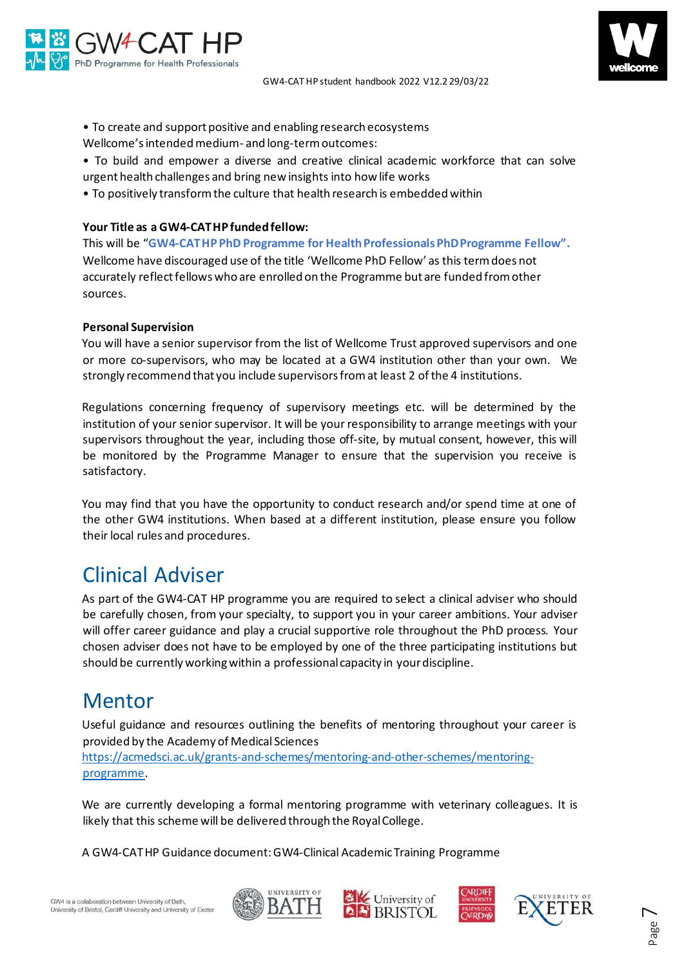

- To create and support positive and enabling research ecosystems
- Wellcome's intended medium- and long-term outcomes:
- To build and empower a diverse and creative clinical academic workforce that can solve urgent health challenges and bring new insights into how life works
- To positively transform the culture that health research is embedded within

#### **Your Title as a GW4-CAT HP funded fellow:**

This will be "**GW4-CATHP PhD Programme for Health Professionals PhD Programme Fellow".** Wellcome have discouraged use of the title 'Wellcome PhD Fellow' as this term does not accurately reflect fellows who are enrolled on the Programme but are funded from other sources.

#### **Personal Supervision**

You will have a senior supervisor from the list of Wellcome Trust approved supervisors and one or more co-supervisors, who may be located at a GW4 institution other than your own. We strongly recommend that you include supervisors from at least 2 of the 4 institutions.

Regulations concerning frequency of supervisory meetings etc. will be determined by the institution of your senior supervisor. It will be your responsibility to arrange meetings with your supervisors throughout the year, including those off-site, by mutual consent, however, this will be monitored by the Programme Manager to ensure that the supervision you receive is satisfactory.

You may find that you have the opportunity to conduct research and/or spend time at one of the other GW4 institutions. When based at a different institution, please ensure you follow their local rules and procedures.

### <span id="page-6-0"></span>Clinical Adviser

As part of the GW4-CAT HP programme you are required to select a clinical adviser who should be carefully chosen, from your specialty, to support you in your career ambitions. Your adviser will offer career guidance and play a crucial supportive role throughout the PhD process. Your chosen adviser does not have to be employed by one of the three participating institutions but should be currently working within a professional capacity in your discipline.

### <span id="page-6-1"></span>Mentor

Useful guidance and resources outlining the benefits of mentoring throughout your career is provided by the Academy of Medical Sciences

[https://acmedsci.ac.uk/grants-and-schemes/mentoring-and-other-schemes/mentoring](https://acmedsci.ac.uk/grants-and-schemes/mentoring-and-other-schemes/mentoring-programme)[programme.](https://acmedsci.ac.uk/grants-and-schemes/mentoring-and-other-schemes/mentoring-programme)

We are currently developing a formal mentoring programme with veterinary colleagues. It is likely that this scheme will be delivered through the Royal College.

A GW4-CATHP Guidance document: GW4-Clinical Academic Training Programme







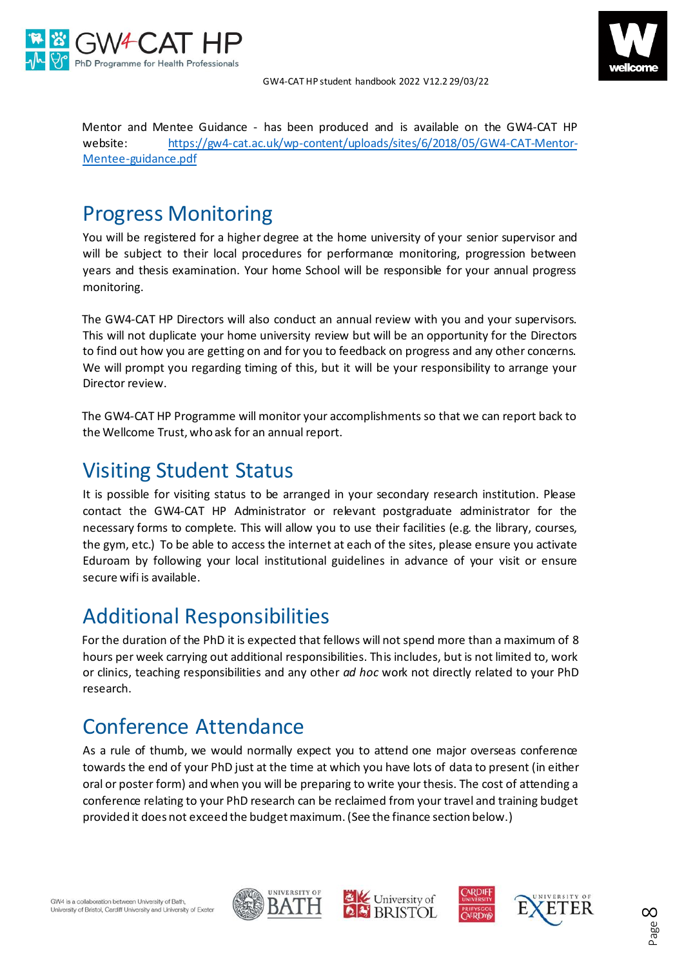



Mentor and Mentee Guidance - has been produced and is available on the GW4-CAT HP website: [https://gw4-cat.ac.uk/wp-content/uploads/sites/6/2018/05/GW4-CAT-Mentor-](https://gw4-cat.ac.uk/wp-content/uploads/sites/6/2018/05/GW4-CAT-Mentor-Mentee-guidance.pdf)[Mentee-guidance.pdf](https://gw4-cat.ac.uk/wp-content/uploads/sites/6/2018/05/GW4-CAT-Mentor-Mentee-guidance.pdf)

### <span id="page-7-0"></span>Progress Monitoring

You will be registered for a higher degree at the home university of your senior supervisor and will be subject to their local procedures for performance monitoring, progression between years and thesis examination. Your home School will be responsible for your annual progress monitoring.

The GW4-CAT HP Directors will also conduct an annual review with you and your supervisors. This will not duplicate your home university review but will be an opportunity for the Directors to find out how you are getting on and for you to feedback on progress and any other concerns. We will prompt you regarding timing of this, but it will be your responsibility to arrange your Director review.

The GW4-CAT HP Programme will monitor your accomplishments so that we can report back to the Wellcome Trust, who ask for an annual report.

## <span id="page-7-1"></span>Visiting Student Status

It is possible for visiting status to be arranged in your secondary research institution. Please contact the GW4-CAT HP Administrator or relevant postgraduate administrator for the necessary forms to complete. This will allow you to use their facilities (e.g. the library, courses, the gym, etc.) To be able to access the internet at each of the sites, please ensure you activate Eduroam by following your local institutional guidelines in advance of your visit or ensure secure wifi is available.

## <span id="page-7-2"></span>Additional Responsibilities

For the duration of the PhD it is expected that fellows will not spend more than a maximum of 8 hours per week carrying out additional responsibilities. This includes, but is not limited to, work or clinics, teaching responsibilities and any other *ad hoc* work not directly related to your PhD research.

## <span id="page-7-3"></span>Conference Attendance

As a rule of thumb, we would normally expect you to attend one major overseas conference towards the end of your PhD just at the time at which you have lots of data to present (in either oral or poster form) and when you will be preparing to write your thesis. The cost of attending a conference relating to your PhD research can be reclaimed from your travel and training budget provided it does not exceed the budget maximum. (See the finance section below.)







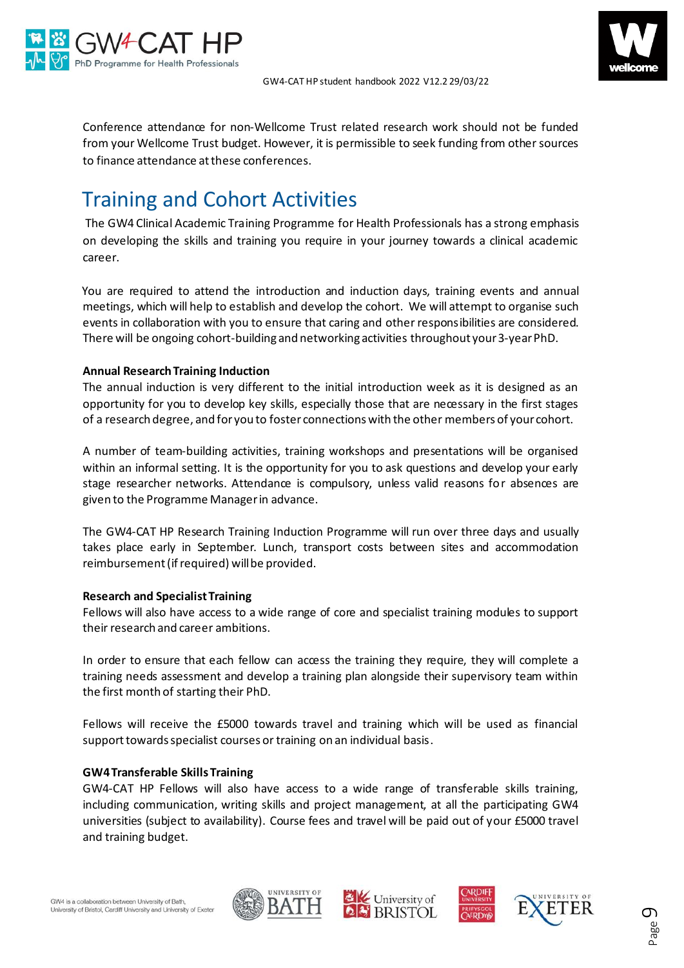



Conference attendance for non-Wellcome Trust related research work should not be funded from your Wellcome Trust budget. However, it is permissible to seek funding from other sources to finance attendance at these conferences.

### <span id="page-8-0"></span>Training and Cohort Activities

The GW4 Clinical Academic Training Programme for Health Professionals has a strong emphasis on developing the skills and training you require in your journey towards a clinical academic career.

You are required to attend the introduction and induction days, training events and annual meetings, which will help to establish and develop the cohort. We will attempt to organise such events in collaboration with you to ensure that caring and other responsibilities are considered. There will be ongoing cohort-building and networking activities throughout your 3-year PhD.

#### **Annual Research Training Induction**

The annual induction is very different to the initial introduction week as it is designed as an opportunity for you to develop key skills, especially those that are necessary in the first stages of a research degree, and for you to foster connections with the other members of your cohort.

A number of team-building activities, training workshops and presentations will be organised within an informal setting. It is the opportunity for you to ask questions and develop your early stage researcher networks. Attendance is compulsory, unless valid reasons for absences are given to the Programme Manager in advance.

The GW4-CAT HP Research Training Induction Programme will run over three days and usually takes place early in September. Lunch, transport costs between sites and accommodation reimbursement (if required) will be provided.

#### **Research and Specialist Training**

Fellows will also have access to a wide range of core and specialist training modules to support their research and career ambitions.

In order to ensure that each fellow can access the training they require, they will complete a training needs assessment and develop a training plan alongside their supervisory team within the first month of starting their PhD.

Fellows will receive the £5000 towards travel and training which will be used as financial support towards specialist courses or training on an individual basis.

#### **GW4 Transferable Skills Training**

GW4-CAT HP Fellows will also have access to a wide range of transferable skills training, including communication, writing skills and project management, at all the participating GW4 universities (subject to availability). Course fees and travel will be paid out of your £5000 travel and training budget.







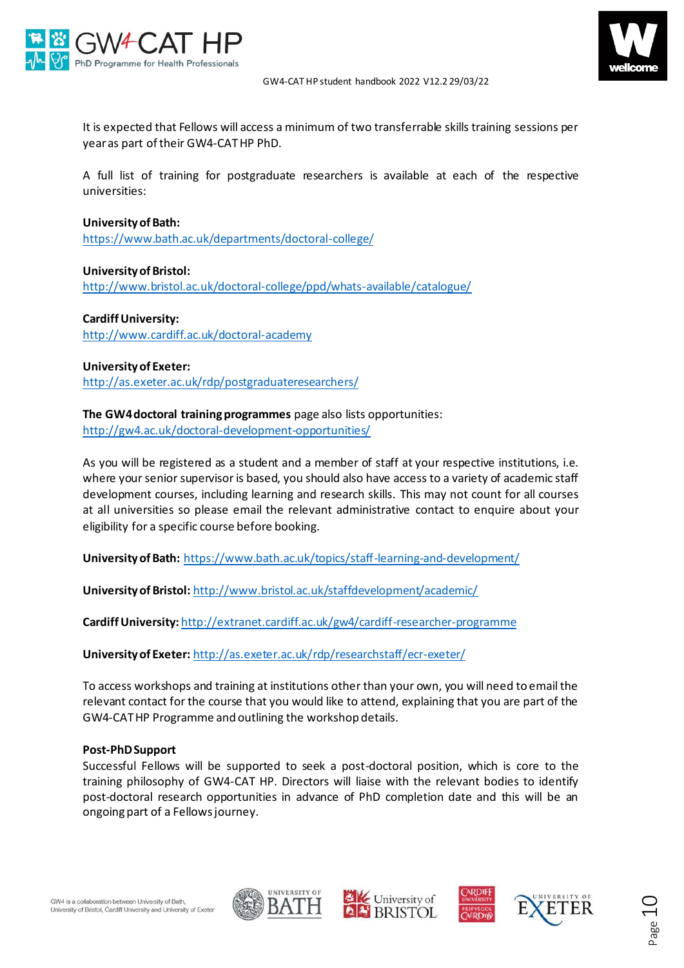



It is expected that Fellows will access a minimum of two transferrable skills training sessions per year as part of their GW4-CAT HP PhD.

A full list of training for postgraduate researchers is available at each of the respective universities:

#### **University of Bath:**

<https://www.bath.ac.uk/departments/doctoral-college/>

**University of Bristol:**  <http://www.bristol.ac.uk/doctoral-college/ppd/whats-available/catalogue/>

**Cardiff University:** <http://www.cardiff.ac.uk/doctoral-academy>

**University of Exeter:** <http://as.exeter.ac.uk/rdp/postgraduateresearchers/>

**The GW4 doctoral training programmes** page also lists opportunities: <http://gw4.ac.uk/doctoral-development-opportunities/>

As you will be registered as a student and a member of staff at your respective institutions, i.e. where your senior supervisor is based, you should also have access to a variety of academic staff development courses, including learning and research skills. This may not count for all courses at all universities so please email the relevant administrative contact to enquire about your eligibility for a specific course before booking.

**University of Bath:** <https://www.bath.ac.uk/topics/staff-learning-and-development/>

**University of Bristol:** <http://www.bristol.ac.uk/staffdevelopment/academic/>

**Cardiff University:** <http://extranet.cardiff.ac.uk/gw4/cardiff-researcher-programme>

**University of Exeter:** <http://as.exeter.ac.uk/rdp/researchstaff/ecr-exeter/>

To access workshops and training at institutions other than your own, you will need to email the relevant contact for the course that you would like to attend, explaining that you are part of the GW4-CAT HP Programme and outlining the workshop details.

#### **Post-PhD Support**

Successful Fellows will be supported to seek a post-doctoral position, which is core to the training philosophy of GW4-CAT HP. Directors will liaise with the relevant bodies to identify post-doctoral research opportunities in advance of PhD completion date and this will be an ongoing part of a Fellows journey.







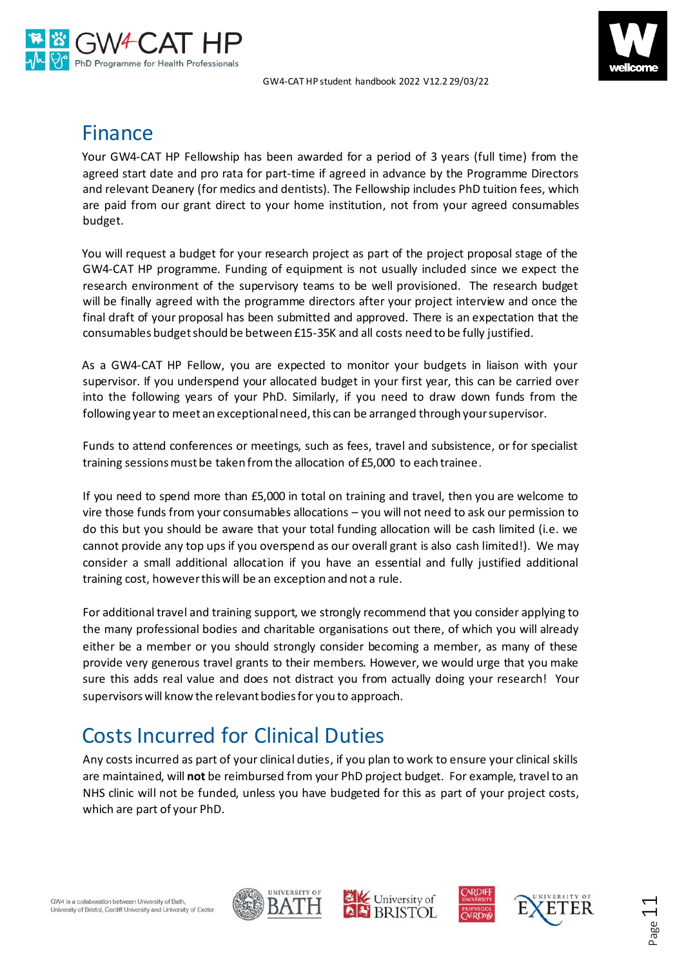



### <span id="page-10-0"></span>Finance

Your GW4-CAT HP Fellowship has been awarded for a period of 3 years (full time) from the agreed start date and pro rata for part-time if agreed in advance by the Programme Directors and relevant Deanery (for medics and dentists). The Fellowship includes PhD tuition fees, which are paid from our grant direct to your home institution, not from your agreed consumables budget.

You will request a budget for your research project as part of the project proposal stage of the GW4-CAT HP programme. Funding of equipment is not usually included since we expect the research environment of the supervisory teams to be well provisioned. The research budget will be finally agreed with the programme directors after your project interview and once the final draft of your proposal has been submitted and approved. There is an expectation that the consumables budget should be between £15-35K and all costs need to be fully justified.

As a GW4-CAT HP Fellow, you are expected to monitor your budgets in liaison with your supervisor. If you underspend your allocated budget in your first year, this can be carried over into the following years of your PhD. Similarly, if you need to draw down funds from the following year to meet an exceptional need, this can be arranged through your supervisor.

Funds to attend conferences or meetings, such as fees, travel and subsistence, or for specialist training sessions must be taken from the allocation of £5,000 to each trainee.

If you need to spend more than £5,000 in total on training and travel, then you are welcome to vire those funds from your consumables allocations – you will not need to ask our permission to do this but you should be aware that your total funding allocation will be cash limited (i.e. we cannot provide any top ups if you overspend as our overall grant is also cash limited!). We may consider a small additional allocation if you have an essential and fully justified additional training cost, however this will be an exception and not a rule.

For additional travel and training support, we strongly recommend that you consider applying to the many professional bodies and charitable organisations out there, of which you will already either be a member or you should strongly consider becoming a member, as many of these provide very generous travel grants to their members. However, we would urge that you make sure this adds real value and does not distract you from actually doing your research! Your supervisors will know the relevant bodies for you to approach.

## <span id="page-10-1"></span>Costs Incurred for Clinical Duties

Any costs incurred as part of your clinical duties, if you plan to work to ensure your clinical skills are maintained, will **not** be reimbursed from your PhD project budget. For example, travel to an NHS clinic will not be funded, unless you have budgeted for this as part of your project costs, which are part of your PhD.







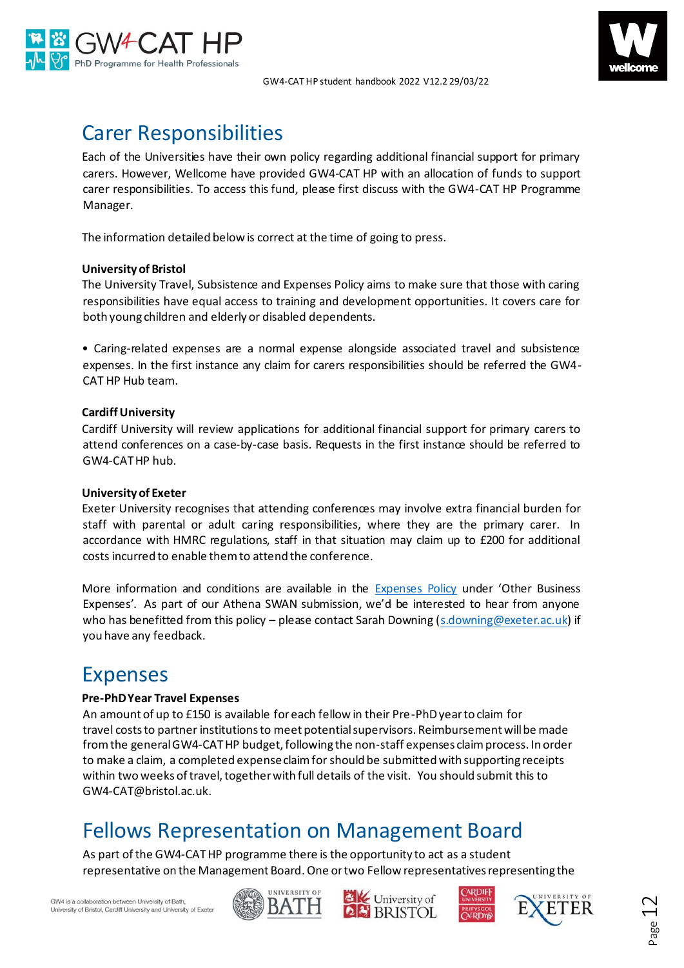



### <span id="page-11-0"></span>Carer Responsibilities

Each of the Universities have their own policy regarding additional financial support for primary carers. However, Wellcome have provided GW4-CAT HP with an allocation of funds to support carer responsibilities. To access this fund, please first discuss with the GW4-CAT HP Programme Manager.

The information detailed below is correct at the time of going to press.

### **Universityof Bristol**

The University Travel, Subsistence and Expenses Policy aims to make sure that those with caring responsibilities have equal access to training and development opportunities. It covers care for both young children and elderly or disabled dependents.

• Caring-related expenses are a normal expense alongside associated travel and subsistence expenses. In the first instance any claim for carers responsibilities should be referred the GW4- CAT HP Hub team.

### **Cardiff University**

Cardiff University will review applications for additional financial support for primary carers to attend conferences on a case-by-case basis. Requests in the first instance should be referred to GW4-CATHP hub.

#### **University of Exeter**

Exeter University recognises that attending conferences may involve extra financial burden for staff with parental or adult caring responsibilities, where they are the primary carer. In accordance with HMRC regulations, staff in that situation may claim up to £200 for additional costs incurred to enable them to attend the conference.

More information and conditions are available in the [Expenses Policy](http://www.exeter.ac.uk/finance/policies/expenses/) under 'Other Business Expenses'. As part of our Athena SWAN submission, we'd be interested to hear from anyone who has benefitted from this policy – please contact Sarah Downing [\(s.downing@exeter.ac.uk\)](mailto:s.downing@exeter.ac.uk) if you have any feedback.

### <span id="page-11-1"></span>Expenses

#### **Pre-PhD Year Travel Expenses**

An amount of up to £150 is available for each fellow in their Pre-PhD year to claim for travel costs to partner institutions to meet potential supervisors. Reimbursement will be made from the general GW4-CAT HP budget, following the non-staff expenses claim process. In order to make a claim, a completed expense claim for should be submitted with supporting receipts within two weeks of travel, together with full details of the visit. You should submit this to GW4-CAT@bristol.ac.uk.

### <span id="page-11-2"></span>Fellows Representation on Management Board

As part of the GW4-CATHP programme there is the opportunity to act as a student representative on the Management Board. One or two Fellow representatives representing the







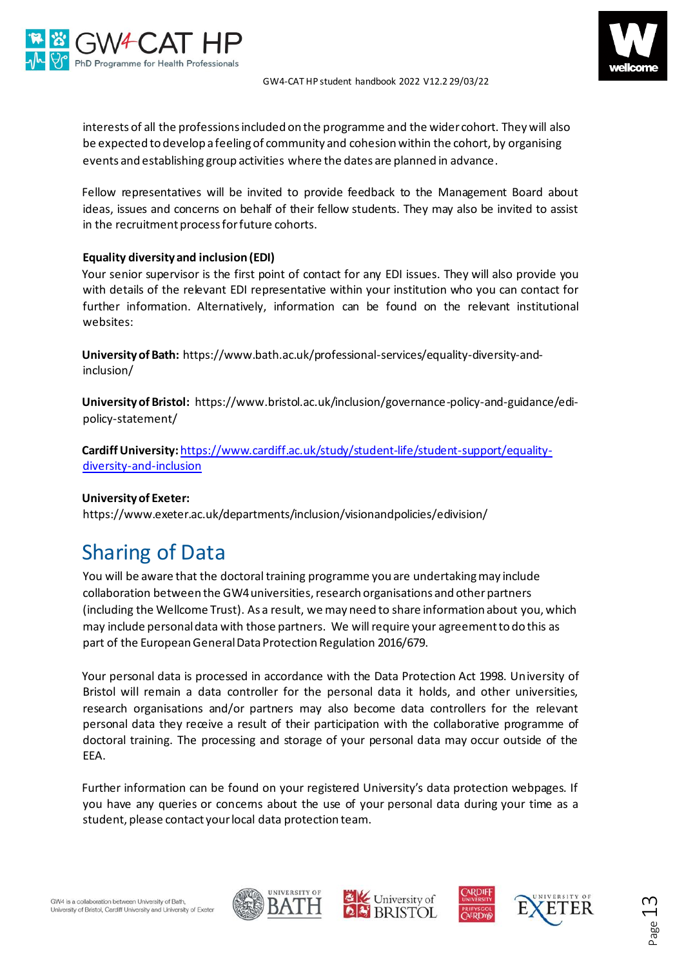



interests of all the professions included on the programme and the wider cohort. They will also be expected to develop a feeling of community and cohesion within the cohort, by organising events and establishing group activities where the dates are planned in advance.

Fellow representatives will be invited to provide feedback to the Management Board about ideas, issues and concerns on behalf of their fellow students. They may also be invited to assist in the recruitment process for future cohorts.

### **Equality diversity and inclusion (EDI)**

Your senior supervisor is the first point of contact for any EDI issues. They will also provide you with details of the relevant EDI representative within your institution who you can contact for further information. Alternatively, information can be found on the relevant institutional websites:

**University of Bath:** https://www.bath.ac.uk/professional-services/equality-diversity-andinclusion/

**University of Bristol:** https://www.bristol.ac.uk/inclusion/governance-policy-and-guidance/edipolicy-statement/

**CardiffUniversity:**[https://www.cardiff.ac.uk/study/student-life/student-support/equality](https://www.cardiff.ac.uk/study/student-life/student-support/equality-diversity-and-inclusion)[diversity-and-inclusion](https://www.cardiff.ac.uk/study/student-life/student-support/equality-diversity-and-inclusion)

### **University of Exeter:**

https://www.exeter.ac.uk/departments/inclusion/visionandpolicies/edivision/

## <span id="page-12-0"></span>Sharing of Data

You will be aware that the doctoral training programme you are undertaking may include collaboration between the GW4 universities, research organisations and other partners (including the Wellcome Trust). As a result, we may need to share information about you, which may include personal data with those partners. We will require your agreement to do this as part of the European General Data Protection Regulation 2016/679.

Your personal data is processed in accordance with the Data Protection Act 1998. University of Bristol will remain a data controller for the personal data it holds, and other universities, research organisations and/or partners may also become data controllers for the relevant personal data they receive a result of their participation with the collaborative programme of doctoral training. The processing and storage of your personal data may occur outside of the EEA.

Further information can be found on your registered University's data protection webpages. If you have any queries or concerns about the use of your personal data during your time as a student, please contact your local data protection team.







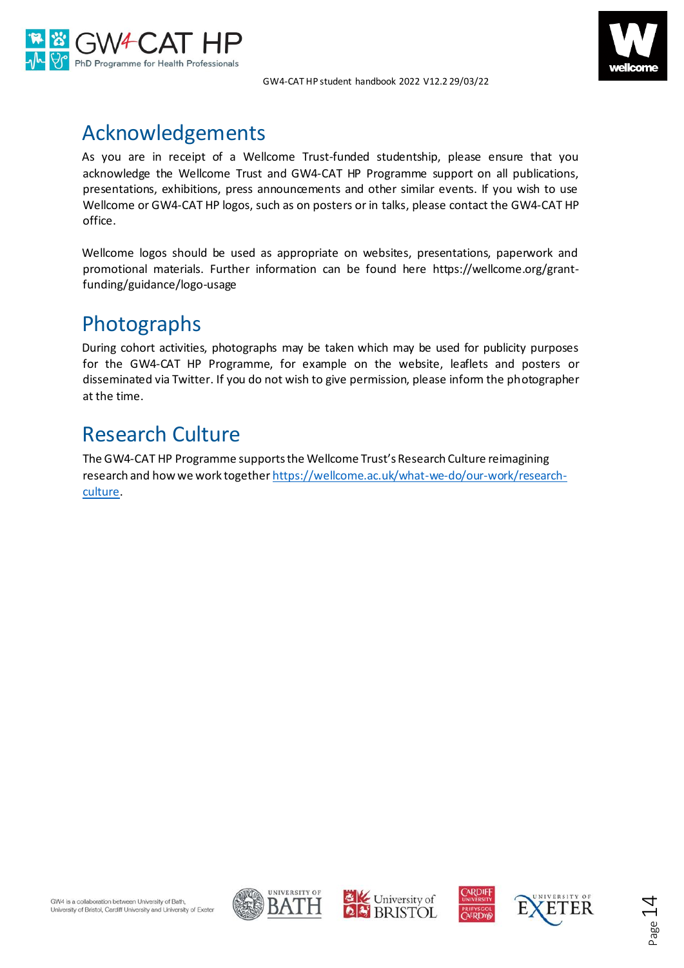



### <span id="page-13-0"></span>Acknowledgements

As you are in receipt of a Wellcome Trust-funded studentship, please ensure that you acknowledge the Wellcome Trust and GW4-CAT HP Programme support on all publications, presentations, exhibitions, press announcements and other similar events. If you wish to use Wellcome or GW4-CAT HP logos, such as on posters or in talks, please contact the GW4-CAT HP office.

Wellcome logos should be used as appropriate on websites, presentations, paperwork and promotional materials. Further information can be found here https://wellcome.org/grantfunding/guidance/logo-usage

## <span id="page-13-1"></span>Photographs

During cohort activities, photographs may be taken which may be used for publicity purposes for the GW4-CAT HP Programme, for example on the website, leaflets and posters or disseminated via Twitter. If you do not wish to give permission, please inform the photographer at the time.

## <span id="page-13-2"></span>Research Culture

The GW4-CAT HP Programme supports the Wellcome Trust's Research Culture reimagining research and how we work togethe[r https://wellcome.ac.uk/what-we-do/our-work/research](https://wellcome.ac.uk/what-we-do/our-work/research-culture)[culture.](https://wellcome.ac.uk/what-we-do/our-work/research-culture)









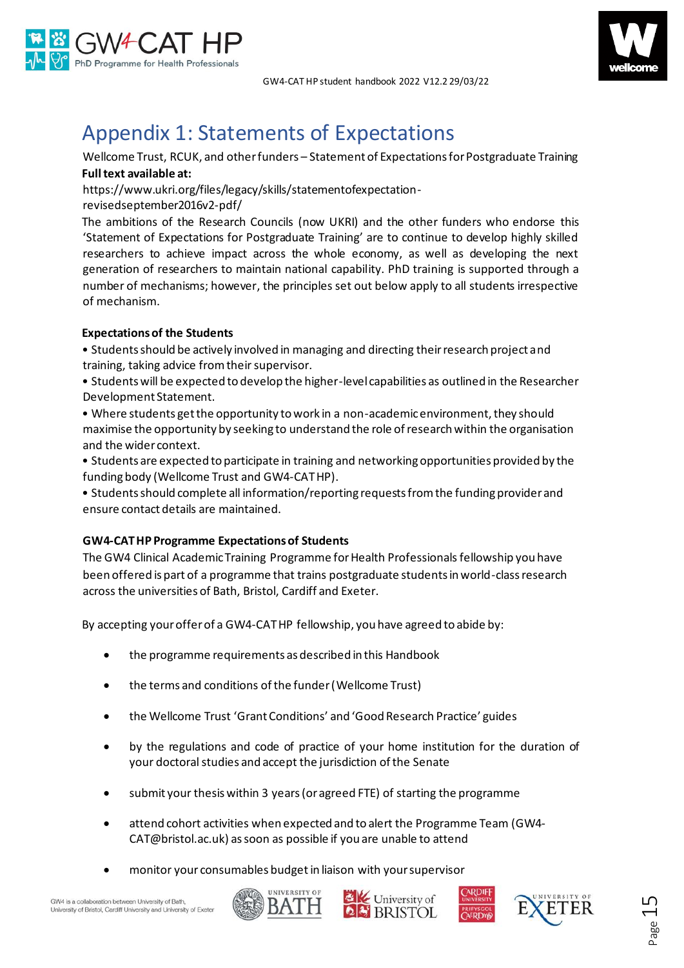



## <span id="page-14-0"></span>Appendix 1: Statements of Expectations

Wellcome Trust, RCUK, and other funders – Statement of Expectations for Postgraduate Training **Full text available at:**

https://www.ukri.org/files/legacy/skills/statementofexpectation-

revisedseptember2016v2-pdf/

The ambitions of the Research Councils (now UKRI) and the other funders who endorse this 'Statement of Expectations for Postgraduate Training' are to continue to develop highly skilled researchers to achieve impact across the whole economy, as well as developing the next generation of researchers to maintain national capability. PhD training is supported through a number of mechanisms; however, the principles set out below apply to all students irrespective of mechanism.

### **Expectations of the Students**

• Students should be actively involved in managing and directing their research project and training, taking advice from their supervisor.

• Students will be expected to develop the higher-level capabilities as outlined in the Researcher Development Statement.

• Where students get the opportunity to work in a non-academic environment, they should maximise the opportunity by seeking to understand the role of research within the organisation and the wider context.

• Students are expected to participate in training and networking opportunities provided by the funding body (Wellcome Trust and GW4-CATHP).

• Students should complete all information/reporting requests from the funding provider and ensure contact details are maintained.

### **GW4-CAT HP Programme Expectations of Students**

The GW4 Clinical Academic Training Programme for Health Professionalsfellowship you have been offered is part of a programme that trains postgraduate students in world-class research across the universities of Bath, Bristol, Cardiff and Exeter.

By accepting your offer of a GW4-CAT HP fellowship, you have agreed to abide by:

- the programme requirements as described in this Handbook
- the terms and conditions of the funder (Wellcome Trust)
- the Wellcome Trust 'Grant Conditions' and 'Good Research Practice' guides
- by the regulations and code of practice of your home institution for the duration of your doctoral studies and accept the jurisdiction of the Senate
- submit your thesis within 3 years (or agreed FTE) of starting the programme
- attend cohort activities when expected and to alert the Programme Team (GW4- CAT@bristol.ac.uk) as soon as possible if you are unable to attend
- monitor your consumables budget in liaison with your supervisor







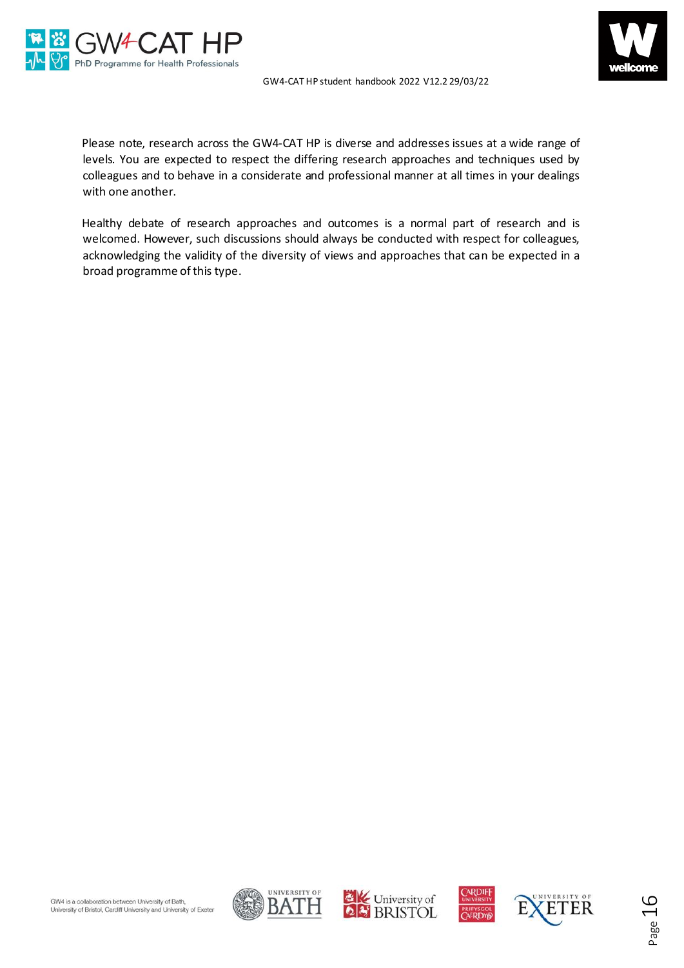



Please note, research across the GW4-CAT HP is diverse and addresses issues at a wide range of levels. You are expected to respect the differing research approaches and techniques used by colleagues and to behave in a considerate and professional manner at all times in your dealings with one another.

Healthy debate of research approaches and outcomes is a normal part of research and is welcomed. However, such discussions should always be conducted with respect for colleagues, acknowledging the validity of the diversity of views and approaches that can be expected in a broad programme of this type.







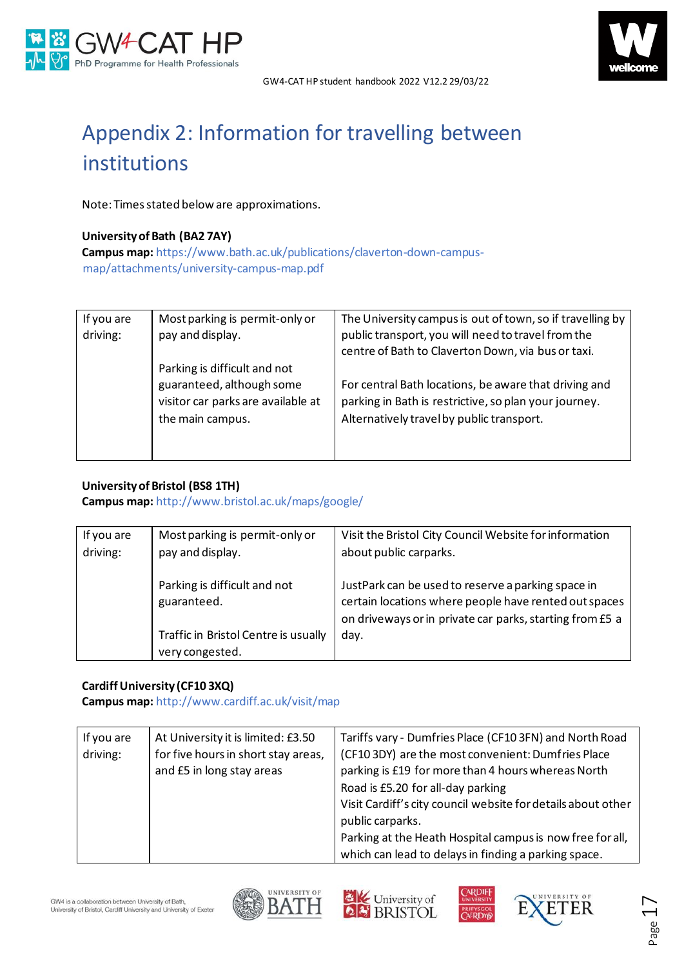



# <span id="page-16-0"></span>Appendix 2: Information for travelling between institutions

Note: Times stated below are approximations.

### **University of Bath (BA2 7AY)**

**Campus map:** [https://www.bath.ac.uk/publications/claverton-down-campus](https://www.bath.ac.uk/publications/claverton-down-campus-map/attachments/university-campus-map.pdf)[map/attachments/university-campus-map.pdf](https://www.bath.ac.uk/publications/claverton-down-campus-map/attachments/university-campus-map.pdf)

| If you are<br>driving: | Most parking is permit-only or<br>pay and display.                                                                  | The University campus is out of town, so if travelling by<br>public transport, you will need to travel from the<br>centre of Bath to Claverton Down, via bus or taxi. |
|------------------------|---------------------------------------------------------------------------------------------------------------------|-----------------------------------------------------------------------------------------------------------------------------------------------------------------------|
|                        | Parking is difficult and not<br>guaranteed, although some<br>visitor car parks are available at<br>the main campus. | For central Bath locations, be aware that driving and<br>parking in Bath is restrictive, so plan your journey.<br>Alternatively travel by public transport.           |

### **University of Bristol (BS8 1TH)**

**Campus map:** <http://www.bristol.ac.uk/maps/google/>

| If you are<br>driving: | Most parking is permit-only or<br>pay and display.      | Visit the Bristol City Council Website for information<br>about public carparks.                                                                                        |
|------------------------|---------------------------------------------------------|-------------------------------------------------------------------------------------------------------------------------------------------------------------------------|
|                        | Parking is difficult and not<br>guaranteed.             | JustPark can be used to reserve a parking space in<br>certain locations where people have rented out spaces<br>on driveways or in private car parks, starting from £5 a |
|                        | Traffic in Bristol Centre is usually<br>very congested. | day.                                                                                                                                                                    |

### **Cardiff University (CF10 3XQ)**

**Campus map:** <http://www.cardiff.ac.uk/visit/map>

| If you are<br>driving: | At University it is limited: £3.50<br>for five hours in short stay areas,<br>and £5 in long stay areas | Tariffs vary - Dumfries Place (CF10 3FN) and North Road<br>(CF10 3DY) are the most convenient: Dumfries Place<br>parking is £19 for more than 4 hours whereas North<br>Road is £5.20 for all-day parking<br>Visit Cardiff's city council website for details about other<br>public carparks.<br>Parking at the Heath Hospital campus is now free for all,<br>which can lead to delays in finding a parking space. |
|------------------------|--------------------------------------------------------------------------------------------------------|-------------------------------------------------------------------------------------------------------------------------------------------------------------------------------------------------------------------------------------------------------------------------------------------------------------------------------------------------------------------------------------------------------------------|
|------------------------|--------------------------------------------------------------------------------------------------------|-------------------------------------------------------------------------------------------------------------------------------------------------------------------------------------------------------------------------------------------------------------------------------------------------------------------------------------------------------------------------------------------------------------------|